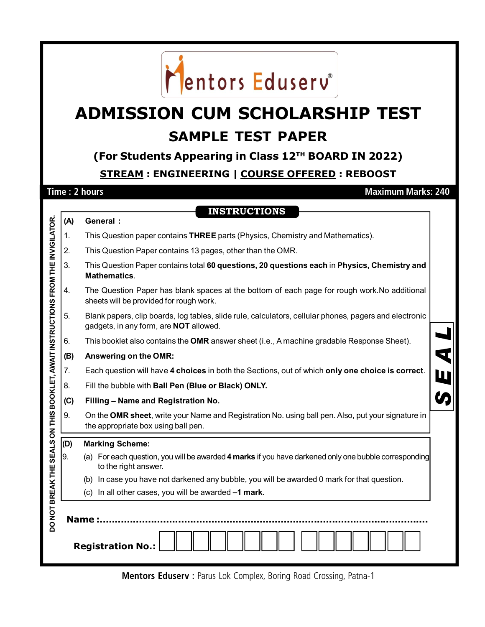

## **ADMISSION CUM SCHOLARSHIP TEST SAMPLE TEST PAPER**

## **(For Students Appearing in Class 12TH BOARD IN 2022)**

**STREAM : ENGINEERING | COURSE OFFERED : REBOOST**

**Time : 2 hours Maximum Marks: 240**

|                                                                | (A)                      | <b>INSTRUCTIONS</b><br>General :                                                                                                                 |  |  |  |  |  |  |
|----------------------------------------------------------------|--------------------------|--------------------------------------------------------------------------------------------------------------------------------------------------|--|--|--|--|--|--|
|                                                                | 1.                       | This Question paper contains THREE parts (Physics, Chemistry and Mathematics).                                                                   |  |  |  |  |  |  |
|                                                                | 2.                       | This Question Paper contains 13 pages, other than the OMR.                                                                                       |  |  |  |  |  |  |
|                                                                | 3.                       | This Question Paper contains total 60 questions, 20 questions each in Physics, Chemistry and<br><b>Mathematics.</b>                              |  |  |  |  |  |  |
|                                                                | 4.                       | The Question Paper has blank spaces at the bottom of each page for rough work. No additional<br>sheets will be provided for rough work.          |  |  |  |  |  |  |
| SEALS ON THIS BOOKLET, AWAIT INSTRUCTIONS FROM THE INVIGILATOR | 5.                       | Blank papers, clip boards, log tables, slide rule, calculators, cellular phones, pagers and electronic<br>gadgets, in any form, are NOT allowed. |  |  |  |  |  |  |
|                                                                | 6.                       | This booklet also contains the OMR answer sheet (i.e., A machine gradable Response Sheet).                                                       |  |  |  |  |  |  |
|                                                                | (B)                      | Answering on the OMR:                                                                                                                            |  |  |  |  |  |  |
|                                                                | 7.                       | Each question will have 4 choices in both the Sections, out of which only one choice is correct.                                                 |  |  |  |  |  |  |
|                                                                | 8.                       | Fill the bubble with Ball Pen (Blue or Black) ONLY.                                                                                              |  |  |  |  |  |  |
|                                                                | (C)                      | Filling - Name and Registration No.                                                                                                              |  |  |  |  |  |  |
|                                                                | 9.                       | On the OMR sheet, write your Name and Registration No. using ball pen. Also, put your signature in<br>the appropriate box using ball pen.        |  |  |  |  |  |  |
|                                                                | (D)                      | <b>Marking Scheme:</b>                                                                                                                           |  |  |  |  |  |  |
|                                                                | 9.                       | (a) For each question, you will be awarded 4 marks if you have darkened only one bubble corresponding<br>to the right answer.                    |  |  |  |  |  |  |
|                                                                |                          | (b) In case you have not darkened any bubble, you will be awarded 0 mark for that question.                                                      |  |  |  |  |  |  |
|                                                                |                          | (c) In all other cases, you will be awarded -1 mark.                                                                                             |  |  |  |  |  |  |
| DO NOT BREAK THE                                               |                          |                                                                                                                                                  |  |  |  |  |  |  |
|                                                                | <b>Registration No.:</b> |                                                                                                                                                  |  |  |  |  |  |  |

**Mentors Eduserv :** Parus Lok Complex, Boring Road Crossing, Patna-1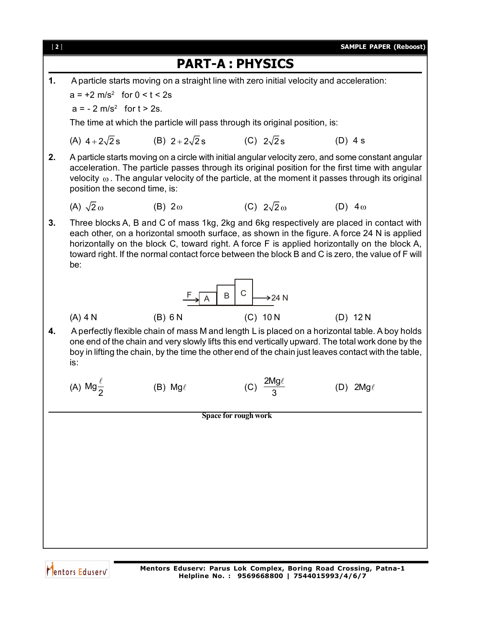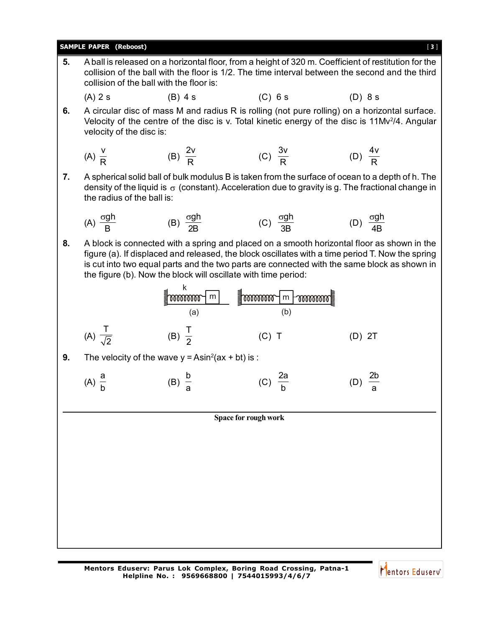|    | <b>SAMPLE PAPER (Reboost)</b>                                                                                                                                                                                                                                                                                                                                   |                                                    |                                   | $[3]$                                                                                                                                                                                                        |  |  |  |  |
|----|-----------------------------------------------------------------------------------------------------------------------------------------------------------------------------------------------------------------------------------------------------------------------------------------------------------------------------------------------------------------|----------------------------------------------------|-----------------------------------|--------------------------------------------------------------------------------------------------------------------------------------------------------------------------------------------------------------|--|--|--|--|
| 5. | A ball is released on a horizontal floor, from a height of 320 m. Coefficient of restitution for the<br>collision of the ball with the floor is 1/2. The time interval between the second and the third<br>collision of the ball with the floor is:                                                                                                             |                                                    |                                   |                                                                                                                                                                                                              |  |  |  |  |
|    | $(A)$ 2 s                                                                                                                                                                                                                                                                                                                                                       | $(B)$ 4 s                                          | $(C)$ 6 s                         | (D) 8s                                                                                                                                                                                                       |  |  |  |  |
| 6. | velocity of the disc is:                                                                                                                                                                                                                                                                                                                                        |                                                    |                                   | A circular disc of mass M and radius R is rolling (not pure rolling) on a horizontal surface.<br>Velocity of the centre of the disc is v. Total kinetic energy of the disc is 11Mv <sup>2</sup> /4. Angular  |  |  |  |  |
|    | (A) $\frac{V}{R}$                                                                                                                                                                                                                                                                                                                                               | (B) $\frac{2v}{D}$                                 | (C) $\frac{3v}{R}$                | (D) $\frac{4v}{R}$                                                                                                                                                                                           |  |  |  |  |
| 7. | the radius of the ball is:                                                                                                                                                                                                                                                                                                                                      |                                                    |                                   | A spherical solid ball of bulk modulus B is taken from the surface of ocean to a depth of h. The<br>density of the liquid is $\sigma$ (constant). Acceleration due to gravity is g. The fractional change in |  |  |  |  |
|    | (A) $\frac{\sigma gh}{R}$                                                                                                                                                                                                                                                                                                                                       | (B) $\frac{\sigma g h}{2R}$                        | (C) $\frac{\sigma g h}{3R}$       | (D) $\frac{\sigma g h}{4R}$                                                                                                                                                                                  |  |  |  |  |
| 8. | A block is connected with a spring and placed on a smooth horizontal floor as shown in the<br>figure (a). If displaced and released, the block oscillates with a time period T. Now the spring<br>is cut into two equal parts and the two parts are connected with the same block as shown in<br>the figure (b). Now the block will oscillate with time period: |                                                    |                                   |                                                                                                                                                                                                              |  |  |  |  |
|    |                                                                                                                                                                                                                                                                                                                                                                 | $\blacksquare$ mommor $\blacksquare$<br>(a)        | <b>JUINTED</b><br>m<br>mmm<br>(b) |                                                                                                                                                                                                              |  |  |  |  |
|    | (A) $\frac{1}{\sqrt{2}}$                                                                                                                                                                                                                                                                                                                                        | (B) $\frac{1}{2}$                                  | $(C)$ T                           | $(D)$ 2T                                                                                                                                                                                                     |  |  |  |  |
| 9. |                                                                                                                                                                                                                                                                                                                                                                 | The velocity of the wave $y = Asin2(ax + bt)$ is : |                                   |                                                                                                                                                                                                              |  |  |  |  |
|    | (A) $\frac{a}{b}$                                                                                                                                                                                                                                                                                                                                               | $(B) \frac{b}{2}$                                  | $rac{2a}{h}$                      |                                                                                                                                                                                                              |  |  |  |  |
|    |                                                                                                                                                                                                                                                                                                                                                                 |                                                    |                                   |                                                                                                                                                                                                              |  |  |  |  |
|    | Space for rough work                                                                                                                                                                                                                                                                                                                                            |                                                    |                                   |                                                                                                                                                                                                              |  |  |  |  |
|    |                                                                                                                                                                                                                                                                                                                                                                 |                                                    |                                   |                                                                                                                                                                                                              |  |  |  |  |
|    |                                                                                                                                                                                                                                                                                                                                                                 |                                                    |                                   |                                                                                                                                                                                                              |  |  |  |  |
|    |                                                                                                                                                                                                                                                                                                                                                                 |                                                    |                                   |                                                                                                                                                                                                              |  |  |  |  |
|    |                                                                                                                                                                                                                                                                                                                                                                 |                                                    |                                   |                                                                                                                                                                                                              |  |  |  |  |
|    |                                                                                                                                                                                                                                                                                                                                                                 |                                                    |                                   |                                                                                                                                                                                                              |  |  |  |  |
|    |                                                                                                                                                                                                                                                                                                                                                                 |                                                    |                                   |                                                                                                                                                                                                              |  |  |  |  |
|    |                                                                                                                                                                                                                                                                                                                                                                 |                                                    |                                   |                                                                                                                                                                                                              |  |  |  |  |

**Mentors Eduserv: Parus Lok Complex, Boring Road Crossing, Patna-1 Helpline No. : 9569668800 | 7544015993/4/6/7**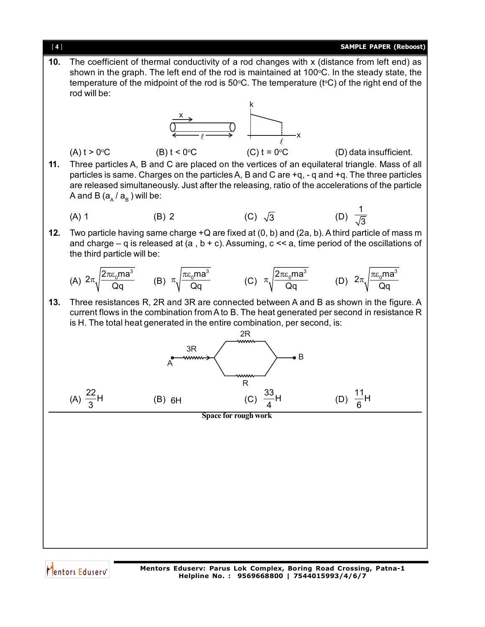

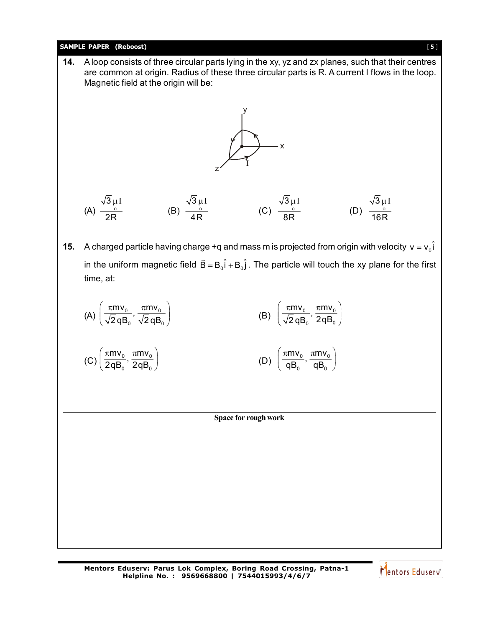

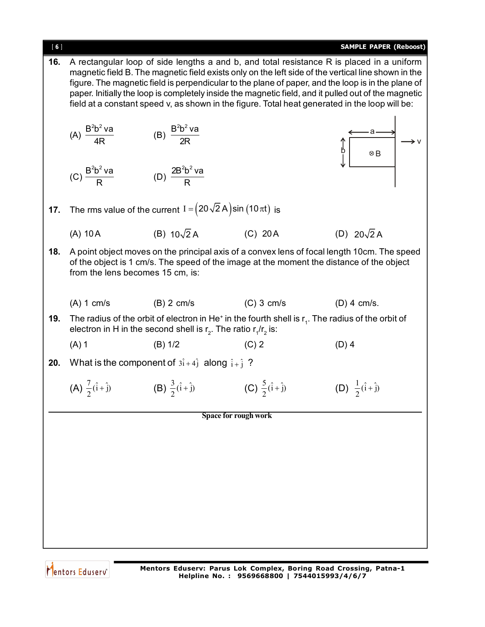| [6] |                                                                                                                                                                                                                                                                                                                                                                                                                                                                                                                  |                                                                            |                                      | <b>SAMPLE PAPER (Reboost)</b>                                                                                                |  |  |  |  |
|-----|------------------------------------------------------------------------------------------------------------------------------------------------------------------------------------------------------------------------------------------------------------------------------------------------------------------------------------------------------------------------------------------------------------------------------------------------------------------------------------------------------------------|----------------------------------------------------------------------------|--------------------------------------|------------------------------------------------------------------------------------------------------------------------------|--|--|--|--|
| 16. | A rectangular loop of side lengths a and b, and total resistance R is placed in a uniform<br>magnetic field B. The magnetic field exists only on the left side of the vertical line shown in the<br>figure. The magnetic field is perpendicular to the plane of paper, and the loop is in the plane of<br>paper. Initially the loop is completely inside the magnetic field, and it pulled out of the magnetic<br>field at a constant speed v, as shown in the figure. Total heat generated in the loop will be: |                                                                            |                                      |                                                                                                                              |  |  |  |  |
|     | (A) $\frac{B^2b^2 \text{ va}}{4R}$                                                                                                                                                                                                                                                                                                                                                                                                                                                                               | (B) $\frac{B^2b^2 \text{va}}{2R}$                                          |                                      | ⊗B                                                                                                                           |  |  |  |  |
|     | (C) $\frac{B^2b^2\vee a}{B}$                                                                                                                                                                                                                                                                                                                                                                                                                                                                                     | (D) $\frac{2B^2b^2\vee a}{b}$                                              |                                      |                                                                                                                              |  |  |  |  |
| 17. |                                                                                                                                                                                                                                                                                                                                                                                                                                                                                                                  | The rms value of the current $I = (20\sqrt{2} A) \sin (10 \pi t)$ is       |                                      |                                                                                                                              |  |  |  |  |
|     | $(A)$ 10 A                                                                                                                                                                                                                                                                                                                                                                                                                                                                                                       | (B) $10\sqrt{2}$ A                                                         | $(C)$ 20 A                           | (D) $20\sqrt{2}$ A                                                                                                           |  |  |  |  |
| 18. | A point object moves on the principal axis of a convex lens of focal length 10cm. The speed<br>of the object is 1 cm/s. The speed of the image at the moment the distance of the object<br>from the lens becomes 15 cm, is:                                                                                                                                                                                                                                                                                      |                                                                            |                                      |                                                                                                                              |  |  |  |  |
|     | $(A)$ 1 cm/s                                                                                                                                                                                                                                                                                                                                                                                                                                                                                                     | $(B)$ 2 cm/s                                                               | $(C)$ 3 cm/s                         | $(D)$ 4 cm/s.                                                                                                                |  |  |  |  |
| 19. |                                                                                                                                                                                                                                                                                                                                                                                                                                                                                                                  | electron in H in the second shell is $r_2$ . The ratio $r_1/r_2$ is:       |                                      | The radius of the orbit of electron in He <sup><math>+</math></sup> in the fourth shell is $r1$ . The radius of the orbit of |  |  |  |  |
|     | $(A)$ 1                                                                                                                                                                                                                                                                                                                                                                                                                                                                                                          | (B) 1/2                                                                    | $(C)$ 2                              | $(D)$ 4                                                                                                                      |  |  |  |  |
| 20. |                                                                                                                                                                                                                                                                                                                                                                                                                                                                                                                  | What is the component of $3\hat{i} + 4\hat{j}$ along $\hat{i} + \hat{j}$ ? |                                      |                                                                                                                              |  |  |  |  |
|     | (A) $\frac{7}{2}(\hat{i} + \hat{j})$                                                                                                                                                                                                                                                                                                                                                                                                                                                                             | (B) $\frac{3}{2}(\hat{i} + \hat{j})$                                       | (C) $\frac{5}{2}(\hat{i} + \hat{j})$ | (D) $\frac{1}{2}(\hat{i} + \hat{j})$                                                                                         |  |  |  |  |
|     |                                                                                                                                                                                                                                                                                                                                                                                                                                                                                                                  |                                                                            | Space for rough work                 |                                                                                                                              |  |  |  |  |
|     |                                                                                                                                                                                                                                                                                                                                                                                                                                                                                                                  |                                                                            |                                      |                                                                                                                              |  |  |  |  |
|     |                                                                                                                                                                                                                                                                                                                                                                                                                                                                                                                  |                                                                            |                                      |                                                                                                                              |  |  |  |  |
|     |                                                                                                                                                                                                                                                                                                                                                                                                                                                                                                                  |                                                                            |                                      |                                                                                                                              |  |  |  |  |
|     |                                                                                                                                                                                                                                                                                                                                                                                                                                                                                                                  |                                                                            |                                      |                                                                                                                              |  |  |  |  |
|     |                                                                                                                                                                                                                                                                                                                                                                                                                                                                                                                  |                                                                            |                                      |                                                                                                                              |  |  |  |  |
|     |                                                                                                                                                                                                                                                                                                                                                                                                                                                                                                                  |                                                                            |                                      |                                                                                                                              |  |  |  |  |
|     |                                                                                                                                                                                                                                                                                                                                                                                                                                                                                                                  |                                                                            |                                      |                                                                                                                              |  |  |  |  |

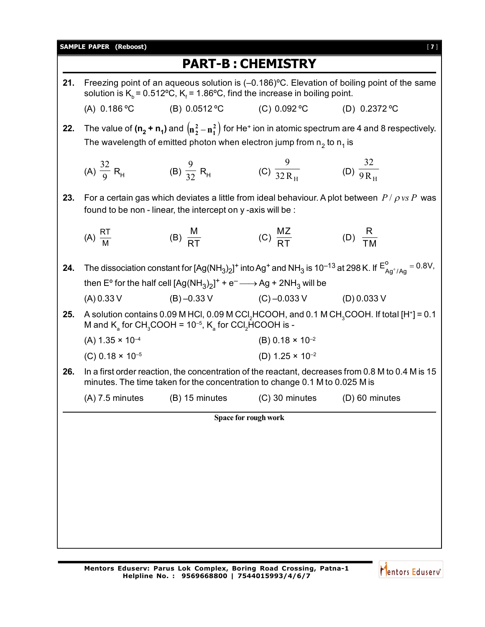|     |                                                                                                                                                                                                     |                                                                                                             | <b>PART-B: CHEMISTRY</b>                                        |                                                                                                                                                    |  |  |  |
|-----|-----------------------------------------------------------------------------------------------------------------------------------------------------------------------------------------------------|-------------------------------------------------------------------------------------------------------------|-----------------------------------------------------------------|----------------------------------------------------------------------------------------------------------------------------------------------------|--|--|--|
| 21. | Freezing point of an aqueous solution is $(-0.186)$ °C. Elevation of boiling point of the same<br>solution is $K_h$ = 0.512°C, $K_f$ = 1.86°C, find the increase in boiling point.                  |                                                                                                             |                                                                 |                                                                                                                                                    |  |  |  |
|     | (A) $0.186$ °C                                                                                                                                                                                      | (B) $0.0512$ °C                                                                                             | (C) $0.092$ °C                                                  | (D) $0.2372$ °C                                                                                                                                    |  |  |  |
| 22. | The value of $(n_2 + n_1)$ and $(n_2^2 - n_1^2)$ for He <sup>+</sup> ion in atomic spectrum are 4 and 8 respectively.<br>The wavelength of emitted photon when electron jump from $n_2$ to $n_1$ is |                                                                                                             |                                                                 |                                                                                                                                                    |  |  |  |
|     | (A) $\frac{32}{9}$ R <sub>H</sub>                                                                                                                                                                   | (B) $\frac{9}{32}R_H$                                                                                       | (C) $\frac{9}{32 R_{\text{H}}}$ (D) $\frac{32}{9 R_{\text{H}}}$ |                                                                                                                                                    |  |  |  |
| 23. |                                                                                                                                                                                                     | found to be non - linear, the intercept on y -axis will be :                                                |                                                                 | For a certain gas which deviates a little from ideal behaviour. A plot between $P / \rho v s P$ was                                                |  |  |  |
|     | (A) $\frac{RT}{M}$                                                                                                                                                                                  | (B) $\frac{M}{RT}$                                                                                          | (C) $\frac{MZ}{RT}$                                             | (D) $\frac{R}{T M}$                                                                                                                                |  |  |  |
| 24. |                                                                                                                                                                                                     |                                                                                                             |                                                                 | The dissociation constant for $[Ag(NH_3)_2]^+$ into Ag <sup>+</sup> and NH <sub>3</sub> is 10 <sup>-13</sup> at 298 K. If $E^o_{Aq^+/Aq} = 0.8V$ , |  |  |  |
|     |                                                                                                                                                                                                     | then E° for the half cell $[Ag(NH_3)_2]^+$ + e <sup>-</sup> $\longrightarrow$ Ag + 2NH <sub>3</sub> will be |                                                                 |                                                                                                                                                    |  |  |  |
|     | (A) 0.33 V                                                                                                                                                                                          |                                                                                                             | $(B) -0.33$ V $(C) -0.033$ V $(D) 0.033$ V                      |                                                                                                                                                    |  |  |  |
| 25. |                                                                                                                                                                                                     | M and $K_a$ for CH <sub>3</sub> COOH = 10 <sup>-5</sup> , $K_a$ for CCI <sub>2</sub> HCOOH is -             |                                                                 | A solution contains 0.09 M HCl, 0.09 M CCl, HCOOH, and 0.1 M CH, COOH. If total [H <sup>+</sup> ] = 0.1                                            |  |  |  |
|     | $(A)$ 1.35 $\times$ 10 <sup>-4</sup>                                                                                                                                                                |                                                                                                             | (B) $0.18 \times 10^{-2}$                                       |                                                                                                                                                    |  |  |  |
|     | (C) $0.18 \times 10^{-5}$                                                                                                                                                                           |                                                                                                             | (D) $1.25 \times 10^{-2}$                                       |                                                                                                                                                    |  |  |  |
| 26. | In a first order reaction, the concentration of the reactant, decreases from 0.8 M to 0.4 M is 15<br>minutes. The time taken for the concentration to change 0.1 M to 0.025 M is                    |                                                                                                             |                                                                 |                                                                                                                                                    |  |  |  |
|     |                                                                                                                                                                                                     | $(A)$ 7.5 minutes $(B)$ 15 minutes $(C)$ 30 minutes                                                         |                                                                 | $(D)$ 60 minutes                                                                                                                                   |  |  |  |
|     |                                                                                                                                                                                                     |                                                                                                             | Space for rough work                                            |                                                                                                                                                    |  |  |  |
|     |                                                                                                                                                                                                     |                                                                                                             |                                                                 |                                                                                                                                                    |  |  |  |
|     |                                                                                                                                                                                                     |                                                                                                             |                                                                 |                                                                                                                                                    |  |  |  |
|     |                                                                                                                                                                                                     |                                                                                                             |                                                                 |                                                                                                                                                    |  |  |  |
|     |                                                                                                                                                                                                     |                                                                                                             |                                                                 |                                                                                                                                                    |  |  |  |
|     |                                                                                                                                                                                                     |                                                                                                             |                                                                 |                                                                                                                                                    |  |  |  |
|     |                                                                                                                                                                                                     |                                                                                                             |                                                                 |                                                                                                                                                    |  |  |  |
|     |                                                                                                                                                                                                     |                                                                                                             |                                                                 |                                                                                                                                                    |  |  |  |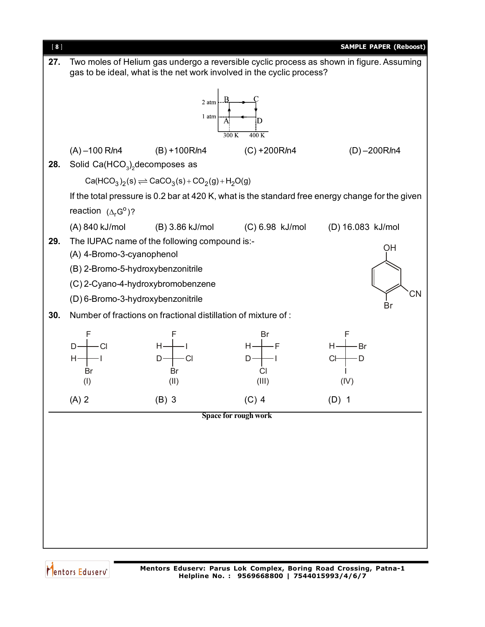

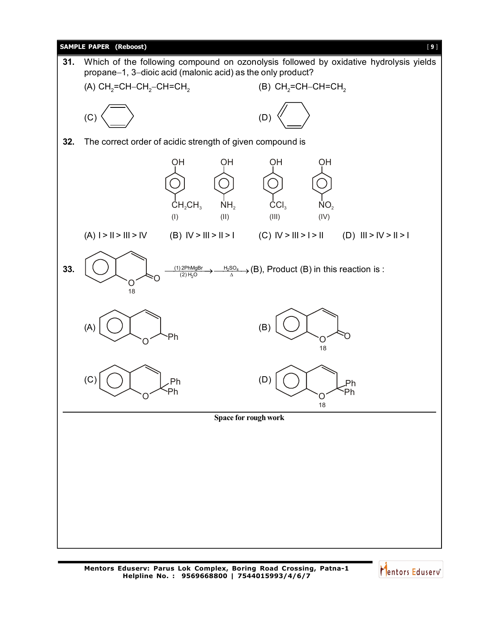

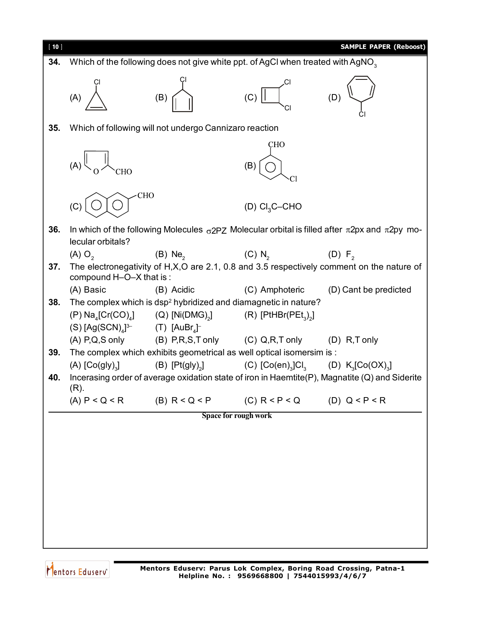

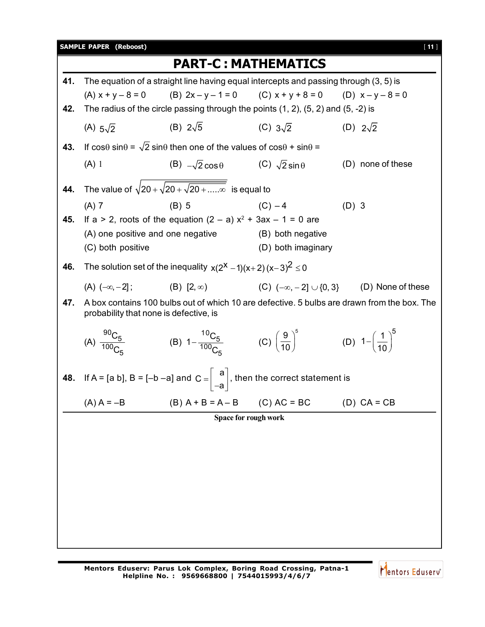|     | <b>SAMPLE PAPER (Reboost)</b> |                                                                                                                                       |                                                                       |                 | [11]              |  |  |  |  |
|-----|-------------------------------|---------------------------------------------------------------------------------------------------------------------------------------|-----------------------------------------------------------------------|-----------------|-------------------|--|--|--|--|
|     |                               | <b>PART-C: MATHEMATICS</b>                                                                                                            |                                                                       |                 |                   |  |  |  |  |
| 41. |                               | The equation of a straight line having equal intercepts and passing through (3, 5) is                                                 |                                                                       |                 |                   |  |  |  |  |
|     | $(A) x + y - 8 = 0$           | (B) $2x - y - 1 = 0$ (C) $x + y + 8 = 0$ (D) $x - y - 8 = 0$                                                                          |                                                                       |                 |                   |  |  |  |  |
| 42. |                               | The radius of the circle passing through the points $(1, 2)$ , $(5, 2)$ and $(5, -2)$ is                                              |                                                                       |                 |                   |  |  |  |  |
|     | (A) $5\sqrt{2}$               | (B) $2\sqrt{5}$                                                                                                                       | (C) $3\sqrt{2}$                                                       | (D) $2\sqrt{2}$ |                   |  |  |  |  |
| 43. |                               | If $cos\theta sin\theta = \sqrt{2} sin\theta$ then one of the values of $cos\theta + sin\theta =$                                     |                                                                       |                 |                   |  |  |  |  |
|     | $(A)$ 1                       | (B) $-\sqrt{2}\cos\theta$ (C) $\sqrt{2}\sin\theta$                                                                                    |                                                                       |                 | (D) none of these |  |  |  |  |
| 44. |                               | The value of $\sqrt{20 + \sqrt{20 + \sqrt{20 + \dots}}\}\$ is equal to                                                                |                                                                       |                 |                   |  |  |  |  |
|     | $(A)$ 7                       | $(B)$ 5                                                                                                                               | $(C) - 4$                                                             | $(D)$ 3         |                   |  |  |  |  |
| 45. |                               | If a > 2, roots of the equation $(2 - a) x2 + 3ax - 1 = 0$ are                                                                        |                                                                       |                 |                   |  |  |  |  |
|     |                               | (A) one positive and one negative                                                                                                     | (B) both negative                                                     |                 |                   |  |  |  |  |
|     | (C) both positive             |                                                                                                                                       | (D) both imaginary                                                    |                 |                   |  |  |  |  |
| 46. |                               | The solution set of the inequality $x(2^X - 1)(x+2)(x-3)^2 \le 0$                                                                     |                                                                       |                 |                   |  |  |  |  |
|     | $(A)$ $(-\infty, -2]$ ;       | $(B)$ $[2, \infty)$                                                                                                                   | (C) $(-\infty, -2] \cup \{0, 3\}$ (D) None of these                   |                 |                   |  |  |  |  |
| 47. |                               | A box contains 100 bulbs out of which 10 are defective. 5 bulbs are drawn from the box. The<br>probability that none is defective, is |                                                                       |                 |                   |  |  |  |  |
|     | (A) $\frac{90C_5}{100C_5}$    | (B) $1-\frac{^{10}C_5}{^{100}C_7}$                                                                                                    | (C) $\left(\frac{9}{10}\right)^5$ (D) $1-\left(\frac{1}{10}\right)^5$ |                 |                   |  |  |  |  |
| 48. |                               | If A = [a b], B = [-b -a] and C = $\begin{bmatrix} a \\ -a \end{bmatrix}$ , then the correct statement is                             |                                                                       |                 |                   |  |  |  |  |
|     | $(A)$ A = $-B$                | $(B)$ A + B = A – B                                                                                                                   | $(C) AC = BC$                                                         |                 | $(D) CA = CB$     |  |  |  |  |
|     | Space for rough work          |                                                                                                                                       |                                                                       |                 |                   |  |  |  |  |
|     |                               |                                                                                                                                       |                                                                       |                 |                   |  |  |  |  |
|     |                               |                                                                                                                                       |                                                                       |                 |                   |  |  |  |  |
|     |                               |                                                                                                                                       |                                                                       |                 |                   |  |  |  |  |
|     |                               |                                                                                                                                       |                                                                       |                 |                   |  |  |  |  |
|     |                               |                                                                                                                                       |                                                                       |                 |                   |  |  |  |  |
|     |                               |                                                                                                                                       |                                                                       |                 |                   |  |  |  |  |
|     |                               |                                                                                                                                       |                                                                       |                 |                   |  |  |  |  |
|     |                               |                                                                                                                                       |                                                                       |                 |                   |  |  |  |  |
|     |                               |                                                                                                                                       |                                                                       |                 |                   |  |  |  |  |

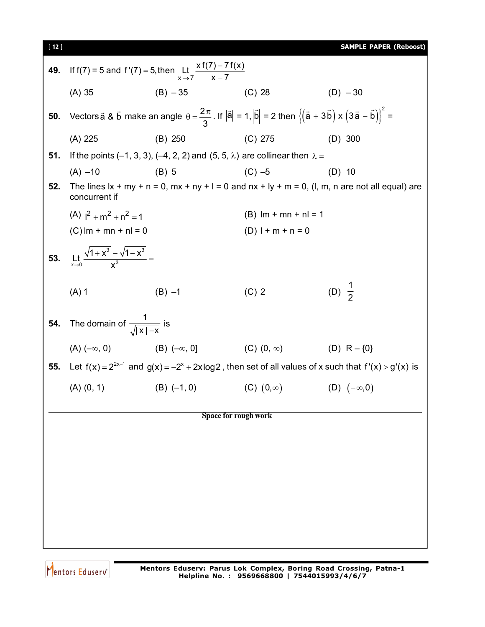| <b>SAMPLE PAPER (Reboost)</b><br>[ 12 ] |  |
|-----------------------------------------|--|
|-----------------------------------------|--|

| 49. | If f(7) = 5 and f'(7) = 5, then Lt $\frac{x f(7) - 7 f(x)}{x - 7}$     |                                                                                                                                                                                           |                               |                                                                                                                |  |  |
|-----|------------------------------------------------------------------------|-------------------------------------------------------------------------------------------------------------------------------------------------------------------------------------------|-------------------------------|----------------------------------------------------------------------------------------------------------------|--|--|
|     | $(A)$ 35                                                               | $(B) - 35$ (C) 28                                                                                                                                                                         |                               | $(D) - 30$                                                                                                     |  |  |
| 50. |                                                                        | Vectors $\vec{a}$ & $\vec{b}$ make an angle $\theta = \frac{2\pi}{3}$ . If $ \vec{a}  = 1$ , $ \vec{b}  = 2$ then $\left\{ (\vec{a} + 3\vec{b}) \times (3\vec{a} - \vec{b}) \right\}^2 =$ |                               |                                                                                                                |  |  |
|     | $(A)$ 225                                                              | (B) 250                                                                                                                                                                                   | $(C)$ 275                     | $(D)$ 300                                                                                                      |  |  |
| 51. |                                                                        | If the points (-1, 3, 3), (-4, 2, 2) and (5, 5, $\lambda$ ) are collinear then $\lambda =$                                                                                                |                               |                                                                                                                |  |  |
|     | $(A) -10$                                                              | $(B)$ 5                                                                                                                                                                                   | $(C) -5$                      | $(D)$ 10                                                                                                       |  |  |
| 52. | concurrent if                                                          |                                                                                                                                                                                           |                               | The lines $x + my + n = 0$ , $mx + ny + l = 0$ and $nx + ly + m = 0$ , (l, m, n are not all equal) are         |  |  |
|     | $(A)$ $1^2 + m^2 + n^2 = 1$                                            |                                                                                                                                                                                           | $(B)$ lm + mn + nl = 1        |                                                                                                                |  |  |
|     | $(C)$ lm + mn + nl = 0                                                 |                                                                                                                                                                                           | $(D)$   + m + n = 0           |                                                                                                                |  |  |
|     | <b>53.</b> Lt <sub>x+0</sub> $\frac{\sqrt{1+x^3}-\sqrt{1-x^3}}{x^3}$ = |                                                                                                                                                                                           |                               |                                                                                                                |  |  |
|     | $(A)$ 1                                                                | $(B) -1$                                                                                                                                                                                  | $(C)$ 2                       | (D) $\frac{1}{2}$                                                                                              |  |  |
| 54. | The domain of $\frac{1}{\sqrt{ x  - x}}$ is                            |                                                                                                                                                                                           |                               |                                                                                                                |  |  |
|     | (A) $(-\infty, 0)$ (B) $(-\infty, 0]$                                  |                                                                                                                                                                                           | (C) $(0, \infty)$ (D) R - {0} |                                                                                                                |  |  |
| 55. |                                                                        |                                                                                                                                                                                           |                               | Let $f(x) = 2^{2x-1}$ and $g(x) = -2^x + 2x \log 2$ , then set of all values of x such that $f'(x) > g'(x)$ is |  |  |
|     | $(A)$ $(0, 1)$                                                         | $(B)$ $(-1, 0)$                                                                                                                                                                           | $(C)$ $(0,\infty)$            | (D) $(-\infty,0)$                                                                                              |  |  |
|     |                                                                        | <b>Space for rough work</b>                                                                                                                                                               |                               |                                                                                                                |  |  |
|     |                                                                        |                                                                                                                                                                                           |                               |                                                                                                                |  |  |
|     |                                                                        |                                                                                                                                                                                           |                               |                                                                                                                |  |  |
|     |                                                                        |                                                                                                                                                                                           |                               |                                                                                                                |  |  |
|     |                                                                        |                                                                                                                                                                                           |                               |                                                                                                                |  |  |
|     |                                                                        |                                                                                                                                                                                           |                               |                                                                                                                |  |  |
|     |                                                                        |                                                                                                                                                                                           |                               |                                                                                                                |  |  |
|     |                                                                        |                                                                                                                                                                                           |                               |                                                                                                                |  |  |

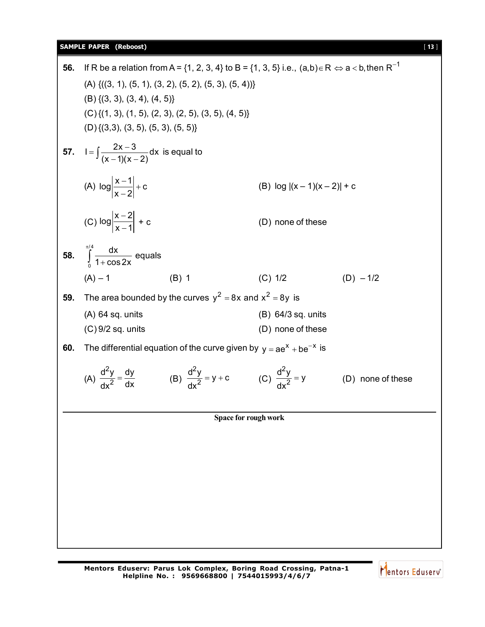## **SAMPLE PAPER (Reboost)** [ **13** ]

56. If R be a relation from A = {1, 2, 3, 4} to B = {1, 3, 5} i.e., (a,b) ∈ R ⇒ a < b, then R<sup>-1</sup>  
\n(A) {((3, 1), (5, 1), (3, 2), (5, 2), (5, 3), (5, 4))}  
\n(B) {(3, 3), (3, 4), (4, 5)}  
\n(C) {(1, 3), (1, 5), (2, 3), (2, 5), (3, 5), (4, 5)}  
\n(D) {(3, 3), (3, 5), (5, 3), (5, 5)}  
\n57. 
$$
1 = \int \frac{2x-3}{(x-1)(x-2)} dx
$$
 is equal to  
\n(A)  $log \left| \frac{x-1}{x-1} \right| + c$   
\n(B)  $log |(x-1)(x-2)| + c$   
\n(C)  $log \left| \frac{x-2}{x-1} \right| + c$   
\n(D) none of these  
\n58.  $\int_{0}^{x/4} \frac{dx}{1+cos2x}$  equals  
\n(A) -1  
\n(B) 1  
\n(C) 1/2  
\n(D) -1/2  
\n59. The area bounded by the curves  $y^2 = 8x$  and  $x^2 = 8y$  is  
\n(A) 64 sq. units  
\n(B) 64/3 sq. units  
\n(C) 9/2 sq. units  
\n(D) none of these  
\n60. The differential equation of the curve given by  $y = ae^x + be^{-x}$  is  
\n(A)  $\frac{d^2y}{dx^2} = \frac{dy}{dx}$   
\n(B)  $\frac{d^2y}{dx^2} = y + c$   
\n(C)  $\frac{d^2y}{dx^2} = y$   
\n(D) none of these  
\nSpace for rough work